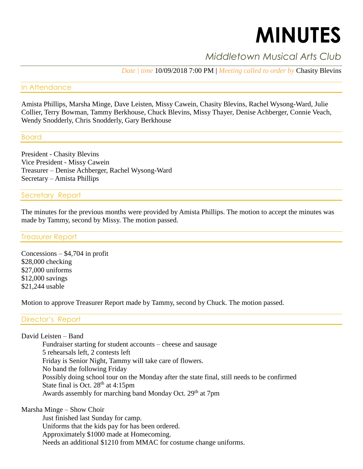# **MINUTES**

# *Middletown Musical Arts Club*

*Date | time* 10/09/2018 7:00 PM | *Meeting called to order by* Chasity Blevins

#### In Attendance

Amista Phillips, Marsha Minge, Dave Leisten, Missy Cawein, Chasity Blevins, Rachel Wysong-Ward, Julie Collier, Terry Bowman, Tammy Berkhouse, Chuck Blevins, Missy Thayer, Denise Achberger, Connie Veach, Wendy Snodderly, Chris Snodderly, Gary Berkhouse

#### Board

President - Chasity Blevins Vice President - Missy Cawein Treasurer – Denise Achberger, Rachel Wysong-Ward Secretary – Amista Phillips

#### Secretary Report

The minutes for the previous months were provided by Amista Phillips. The motion to accept the minutes was made by Tammy, second by Missy. The motion passed.

#### Treasurer Report

Concessions – \$4,704 in profit \$28,000 checking \$27,000 uniforms \$12,000 savings \$21,244 usable

Motion to approve Treasurer Report made by Tammy, second by Chuck. The motion passed.

Director's Report

David Leisten – Band

Fundraiser starting for student accounts – cheese and sausage 5 rehearsals left, 2 contests left Friday is Senior Night, Tammy will take care of flowers. No band the following Friday Possibly doing school tour on the Monday after the state final, still needs to be confirmed State final is Oct.  $28<sup>th</sup>$  at 4:15pm Awards assembly for marching band Monday Oct. 29<sup>th</sup> at 7pm

Marsha Minge – Show Choir

Just finished last Sunday for camp. Uniforms that the kids pay for has been ordered. Approximately \$1000 made at Homecoming. Needs an additional \$1210 from MMAC for costume change uniforms.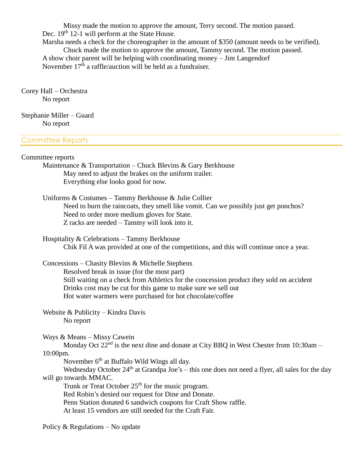Missy made the motion to approve the amount, Terry second. The motion passed. Dec.  $19<sup>th</sup> 12-1$  will perform at the State House.

Marsha needs a check for the choreographer in the amount of \$350 (amount needs to be verified).

Chuck made the motion to approve the amount, Tammy second. The motion passed. A show choir parent will be helping with coordinating money – Jim Langendorf November  $17<sup>th</sup>$  a raffle/auction will be held as a fundraiser.

Corey Hall – Orchestra No report

Stephanie Miller – Guard No report

#### Committee Reports

#### Committee reports

Maintenance & Transportation – Chuck Blevins & Gary Berkhouse May need to adjust the brakes on the uniform trailer. Everything else looks good for now.

Uniforms & Costumes – Tammy Berkhouse & Julie Collier Need to burn the raincoats, they smell like vomit. Can we possibly just get ponchos? Need to order more medium gloves for State. Z racks are needed – Tammy will look into it.

Hospitality & Celebrations – Tammy Berkhouse Chik Fil A was provided at one of the competitions, and this will continue once a year.

Concessions – Chasity Blevins & Michelle Stephens Resolved break in issue (for the most part) Still waiting on a check from Athletics for the concession product they sold on accident Drinks cost may be cut for this game to make sure we sell out Hot water warmers were purchased for hot chocolate/coffee

Website & Publicity – Kindra Davis No report

Ways & Means – Missy Cawein

Monday Oct  $22<sup>nd</sup>$  is the next dine and donate at City BBQ in West Chester from 10:30am – 10:00pm.

November 6<sup>th</sup> at Buffalo Wild Wings all day.

Wednesday October 24<sup>th</sup> at Grandpa Joe's – this one does not need a flyer, all sales for the day will go towards MMAC.

Trunk or Treat October  $25<sup>th</sup>$  for the music program.

Red Robin's denied our request for Dine and Donate.

Penn Station donated 6 sandwich coupons for Craft Show raffle.

At least 15 vendors are still needed for the Craft Fair.

Policy & Regulations – No update